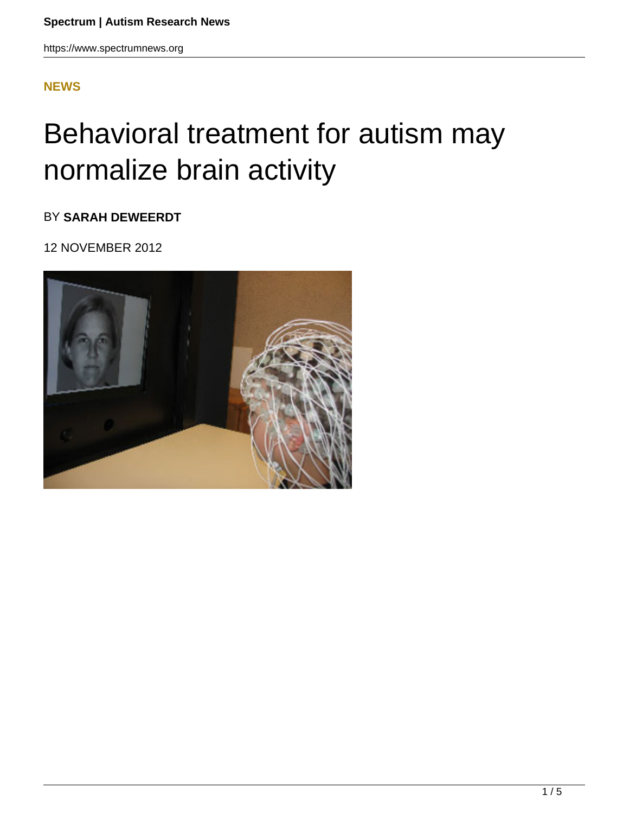### **[NEWS](HTTPS://WWW.SPECTRUMNEWS.ORG/NEWS/)**

# Behavioral treatment for autism may normalize brain activity

BY **SARAH DEWEERDT**

12 NOVEMBER 2012

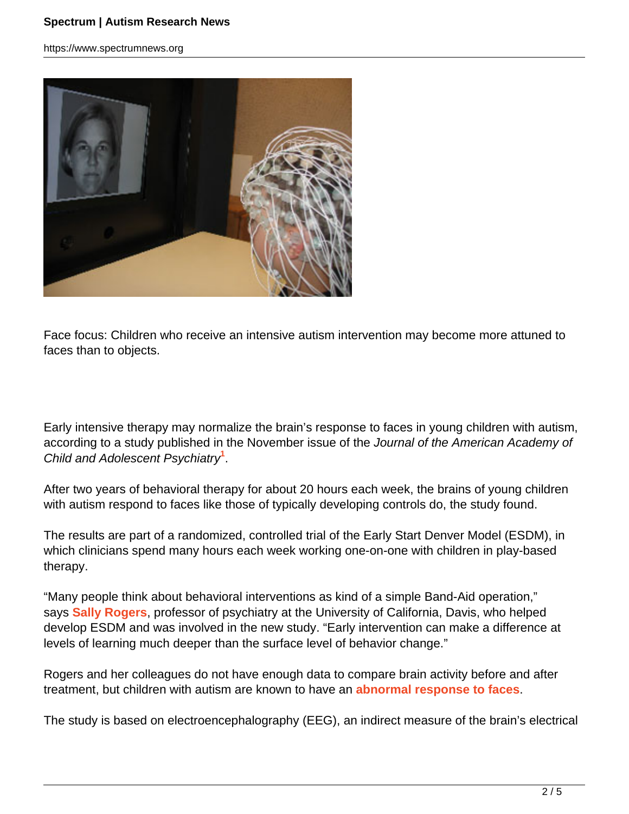#### **Spectrum | Autism Research News**

https://www.spectrumnews.org



Face focus: Children who receive an intensive autism intervention may become more attuned to faces than to objects.

Early intensive therapy may normalize the brain's response to faces in young children with autism, according to a study published in the November issue of the Journal of the American Academy of Child and Adolescent Psychiatry**<sup>1</sup>** .

After two years of behavioral therapy for about 20 hours each week, the brains of young children with autism respond to faces like those of typically developing controls do, the study found.

The results are part of a randomized, controlled trial of the Early Start Denver Model (ESDM), in which clinicians spend many hours each week working one-on-one with children in play-based therapy.

"Many people think about behavioral interventions as kind of a simple Band-Aid operation," says **Sally Rogers**, professor of psychiatry at the University of California, Davis, who helped develop ESDM and was involved in the new study. "Early intervention can make a difference at levels of learning much deeper than the surface level of behavior change."

Rogers and her colleagues do not have enough data to compare brain activity before and after treatment, but children with autism are known to have an **abnormal response to faces**.

The study is based on electroencephalography (EEG), an indirect measure of the brain's electrical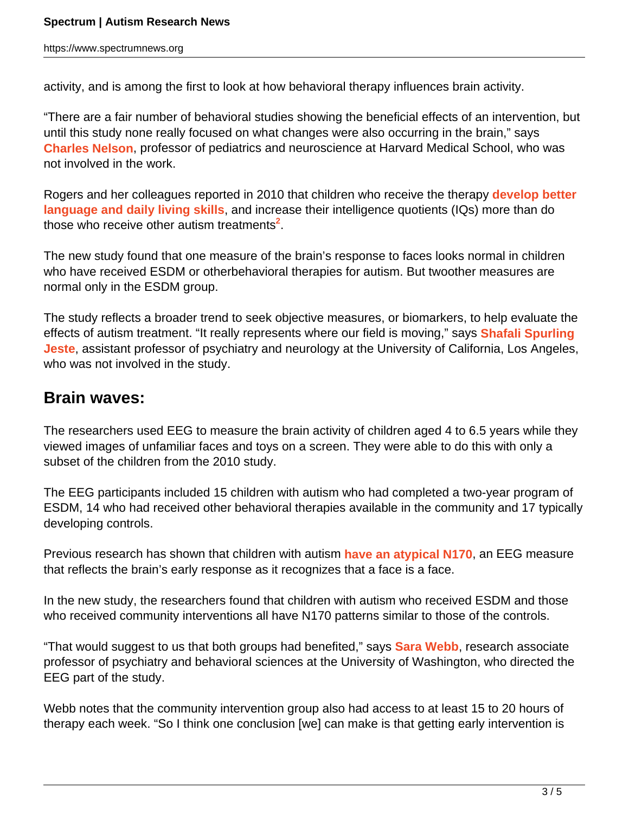activity, and is among the first to look at how behavioral therapy influences brain activity.

"There are a fair number of behavioral studies showing the beneficial effects of an intervention, but until this study none really focused on what changes were also occurring in the brain," says **Charles Nelson**, professor of pediatrics and neuroscience at Harvard Medical School, who was not involved in the work.

Rogers and her colleagues reported in 2010 that children who receive the therapy **develop better language and daily living skills**, and increase their intelligence quotients (IQs) more than do those who receive other autism treatments**<sup>2</sup>** .

The new study found that one measure of the brain's response to faces looks normal in children who have received ESDM or otherbehavioral therapies for autism. But twoother measures are normal only in the ESDM group.

The study reflects a broader trend to seek objective measures, or biomarkers, to help evaluate the effects of autism treatment. "It really represents where our field is moving," says **Shafali Spurling Jeste**, assistant professor of psychiatry and neurology at the University of California, Los Angeles, who was not involved in the study.

## **Brain waves:**

The researchers used EEG to measure the brain activity of children aged 4 to 6.5 years while they viewed images of unfamiliar faces and toys on a screen. They were able to do this with only a subset of the children from the 2010 study.

The EEG participants included 15 children with autism who had completed a two-year program of ESDM, 14 who had received other behavioral therapies available in the community and 17 typically developing controls.

Previous research has shown that children with autism **have an atypical N170**, an EEG measure that reflects the brain's early response as it recognizes that a face is a face.

In the new study, the researchers found that children with autism who received ESDM and those who received community interventions all have N170 patterns similar to those of the controls.

"That would suggest to us that both groups had benefited," says **Sara Webb**, research associate professor of psychiatry and behavioral sciences at the University of Washington, who directed the EEG part of the study.

Webb notes that the community intervention group also had access to at least 15 to 20 hours of therapy each week. "So I think one conclusion [we] can make is that getting early intervention is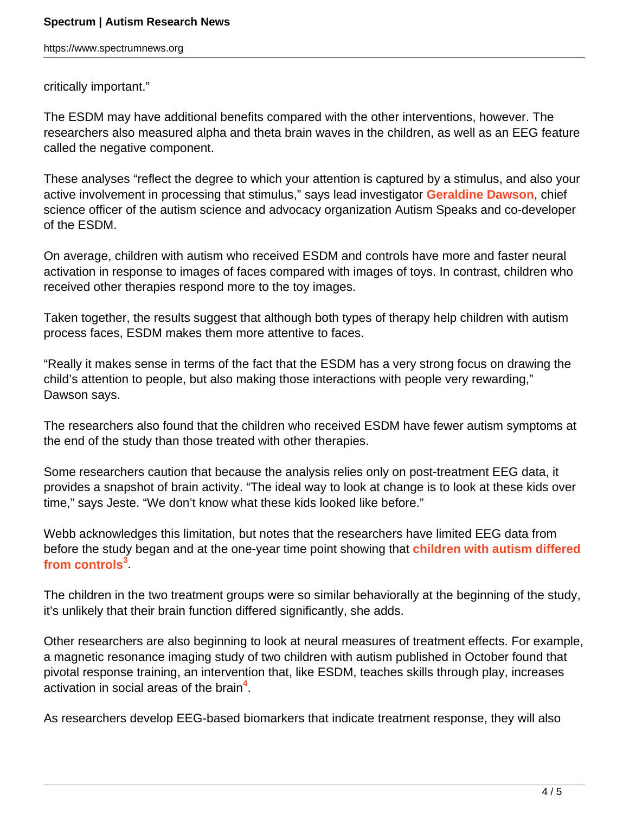https://www.spectrumnews.org

critically important."

The ESDM may have additional benefits compared with the other interventions, however. The researchers also measured alpha and theta brain waves in the children, as well as an EEG feature called the negative component.

These analyses "reflect the degree to which your attention is captured by a stimulus, and also your active involvement in processing that stimulus," says lead investigator **Geraldine Dawson**, chief science officer of the autism science and advocacy organization Autism Speaks and co-developer of the ESDM.

On average, children with autism who received ESDM and controls have more and faster neural activation in response to images of faces compared with images of toys. In contrast, children who received other therapies respond more to the toy images.

Taken together, the results suggest that although both types of therapy help children with autism process faces, ESDM makes them more attentive to faces.

"Really it makes sense in terms of the fact that the ESDM has a very strong focus on drawing the child's attention to people, but also making those interactions with people very rewarding," Dawson says.

The researchers also found that the children who received ESDM have fewer autism symptoms at the end of the study than those treated with other therapies.

Some researchers caution that because the analysis relies only on post-treatment EEG data, it provides a snapshot of brain activity. "The ideal way to look at change is to look at these kids over time," says Jeste. "We don't know what these kids looked like before."

Webb acknowledges this limitation, but notes that the researchers have limited EEG data from before the study began and at the one-year time point showing that **children with autism differed from controls<sup>3</sup>** .

The children in the two treatment groups were so similar behaviorally at the beginning of the study, it's unlikely that their brain function differed significantly, she adds.

Other researchers are also beginning to look at neural measures of treatment effects. For example, a magnetic resonance imaging study of two children with autism published in October found that pivotal response training, an intervention that, like ESDM, teaches skills through play, increases activation in social areas of the brain**<sup>4</sup>** .

As researchers develop EEG-based biomarkers that indicate treatment response, they will also